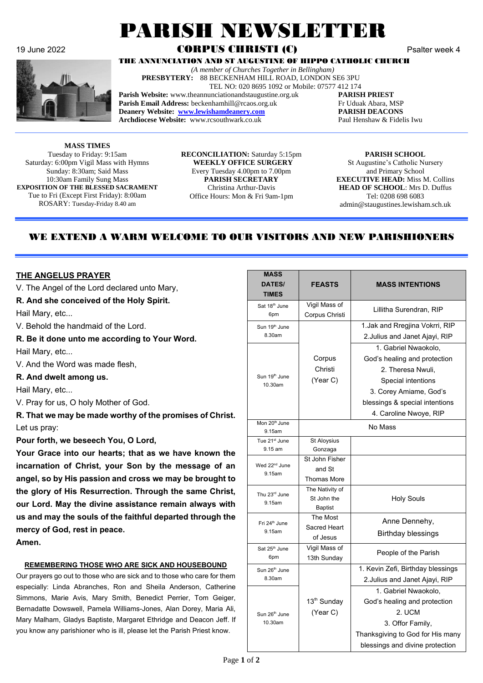

# 19 June 2022 **CORPUS CHRISTI (C)** Psalter week 4

THE ANNUNCIATION AND ST AUGUSTINE OF HIPPO CATHOLIC CHURCH

 *(A member of Churches Together in Bellingham)*

**PRESBYTERY:** 88 BECKENHAM HILL ROAD, LONDON SE6 3PU TEL NO: 020 8695 1092 or Mobile: 07577 412 174 **Parish Website:** www.theannunciationandstaugustine.org.uk **PARISH PRIEST**

PARISH NEWSLETTER

**Parish Email Address:** beckenhamhill@rcaos.org.uk Fr Uduak Abara, MSP **Deanery Website: [www.lewishamdeanery.com](http://www.lewishamdeanery.com/) PARISH DEACONS Archdiocese Website:** www.rcsouthwark.co.uk Paul Henshaw & Fidelis Iwu

**MASS TIMES** Tuesday to Friday: 9:15am Saturday: 6:00pm Vigil Mass with Hymns Sunday: 8:30am; Said Mass 10:30am Family Sung Mass **EXPOSITION OF THE BLESSED SACRAMENT** Tue to Fri (Except First Friday): 8:00am ROSARY: Tuesday-Friday 8.40 am

**RECONCILIATION:** Saturday 5:15pm **WEEKLY OFFICE SURGERY** Every Tuesday 4.00pm to 7.00pm **PARISH SECRETARY** Christina Arthur-Davis Office Hours: Mon & Fri 9am-1pm

**PARISH SCHOOL** St Augustine's Catholic Nursery and Primary School **EXECUTIVE HEAD:** Miss M. Collins **HEAD OF SCHOOL**: Mrs D. Duffus Tel: 0208 698 6083 admin@staugustines.lewisham.sch.uk

# WE EXTEND A WARM WELCOME TO OUR VISITORS AND NEW PARISHIONERS

#### **THE ANGELUS PRAYER**

V. The Angel of the Lord declared unto Mary,

#### **R. And she conceived of the Holy Spirit.**

Hail Mary, etc...

- V. Behold the handmaid of the Lord.
- **R. Be it done unto me according to Your Word.** Hail Mary, etc...

- V. And the Word was made flesh,
- **R. And dwelt among us.**

Hail Mary, etc...

V. Pray for us, O holy Mother of God.

**R. That we may be made worthy of the promises of Christ.** Let us pray:

**Pour forth, we beseech You, O Lord,**

**Your Grace into our hearts; that as we have known the incarnation of Christ, your Son by the message of an angel,so by His passion and cross we may be brought to the glory of His Resurrection. Through the same Christ, our Lord. May the divine assistance remain always with**  us and may the souls of the faithful departed through the **mercy of God, rest in peace. Amen.**

#### **REMEMBERING THOSE WHO ARE SICK AND HOUSEBOUND**

Our prayers go out to those who are sick and to those who care for them especially: Linda Abranches, Ron and Sheila Anderson, Catherine Simmons, Marie Avis, Mary Smith, Benedict Perrier, Tom Geiger, Bernadatte Dowswell, Pamela Williams-Jones, Alan Dorey, Maria Ali, Mary Malham, Gladys Baptiste, Margaret Ethridge and Deacon Jeff. If you know any parishioner who is ill, please let the Parish Priest know.

| <b>MASS</b><br><b>DATES/</b><br><b>TIMES</b> | <b>FEASTS</b>                                    | <b>MASS INTENTIONS</b>                                                                                                                                                                |  |
|----------------------------------------------|--------------------------------------------------|---------------------------------------------------------------------------------------------------------------------------------------------------------------------------------------|--|
| Sat 18 <sup>th</sup> June<br>6pm             | Vigil Mass of<br>Corpus Christi                  | Lillitha Surendran, RIP                                                                                                                                                               |  |
| Sun 19 <sup>th</sup> June<br>8.30am          |                                                  | 1. Jak and Rregjina Vokrri, RIP<br>2. Julius and Janet Ajayi, RIP                                                                                                                     |  |
| Sun 19 <sup>th</sup> June<br>10.30am         | Corpus<br>Christi<br>(Year C)                    | 1. Gabriel Nwaokolo,<br>God's healing and protection<br>2. Theresa Nwuli,<br>Special intentions<br>3. Corey Amiame, God's<br>blessings & special intentions<br>4. Caroline Nwoye, RIP |  |
| Mon 20 <sup>th</sup> June<br>9.15am          | No Mass                                          |                                                                                                                                                                                       |  |
| Tue 21 <sup>st</sup> June<br>9.15 am         | St Aloysius<br>Gonzaga                           |                                                                                                                                                                                       |  |
| Wed 22 <sup>nd</sup> June<br>9.15am          | St John Fisher<br>and St<br><b>Thomas More</b>   |                                                                                                                                                                                       |  |
| Thu 23rd June<br>9.15am                      | The Nativity of<br>St John the<br><b>Baptist</b> | <b>Holy Souls</b>                                                                                                                                                                     |  |
| Fri 24 <sup>th</sup> June<br>9.15am          | The Most<br>Sacred Heart<br>of Jesus             | Anne Dennehy,<br><b>Birthday blessings</b>                                                                                                                                            |  |
| Sat 25 <sup>th</sup> June<br>6pm             | Vigil Mass of<br>13th Sunday                     | People of the Parish                                                                                                                                                                  |  |
| Sun 26 <sup>th</sup> June<br>8.30am          |                                                  | 1. Kevin Zefi, Birthday blessings<br>2. Julius and Janet Ajayi, RIP                                                                                                                   |  |
| Sun 26 <sup>th</sup> June<br>10.30am         | 13 <sup>th</sup> Sunday<br>(Year C)              | 1. Gabriel Nwaokolo,<br>God's healing and protection<br>2. UCM<br>3. Offor Family,<br>Thanksgiving to God for His many<br>blessings and divine protection                             |  |